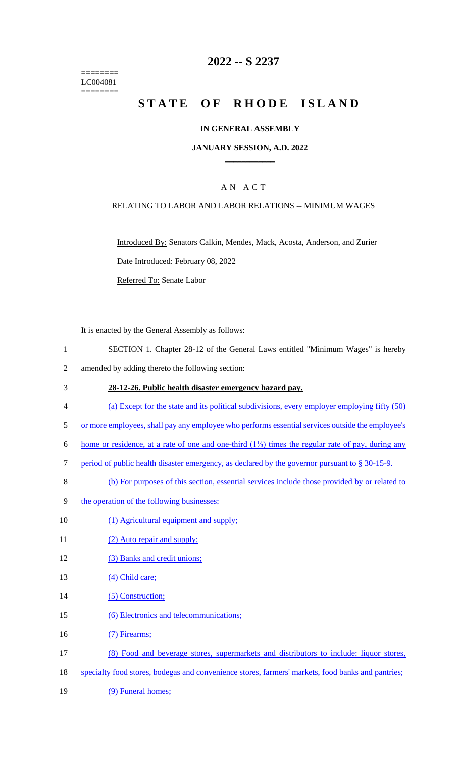======== LC004081 ========

# **2022 -- S 2237**

# **STATE OF RHODE ISLAND**

### **IN GENERAL ASSEMBLY**

### **JANUARY SESSION, A.D. 2022 \_\_\_\_\_\_\_\_\_\_\_\_**

### A N A C T

### RELATING TO LABOR AND LABOR RELATIONS -- MINIMUM WAGES

Introduced By: Senators Calkin, Mendes, Mack, Acosta, Anderson, and Zurier Date Introduced: February 08, 2022

Referred To: Senate Labor

It is enacted by the General Assembly as follows:

- 1 SECTION 1. Chapter 28-12 of the General Laws entitled "Minimum Wages" is hereby
- 2 amended by adding thereto the following section:
- 3 **28-12-26. Public health disaster emergency hazard pay.**
- 4 (a) Except for the state and its political subdivisions, every employer employing fifty (50)
- 5 or more employees, shall pay any employee who performs essential services outside the employee's
- 6 home or residence, at a rate of one and one-third (1⅓) times the regular rate of pay, during any
- 7 period of public health disaster emergency, as declared by the governor pursuant to § 30-15-9.
- 8 (b) For purposes of this section, essential services include those provided by or related to
- 9 the operation of the following businesses:
- 10 (1) Agricultural equipment and supply;
- 11 (2) Auto repair and supply;
- 12 (3) Banks and credit unions;
- 13 (4) Child care;
- 14 (5) Construction;
- 15 (6) Electronics and telecommunications;
- 16 (7) Firearms;
- 17 (8) Food and beverage stores, supermarkets and distributors to include: liquor stores,
- 18 specialty food stores, bodegas and convenience stores, farmers' markets, food banks and pantries;
- 19 (9) Funeral homes;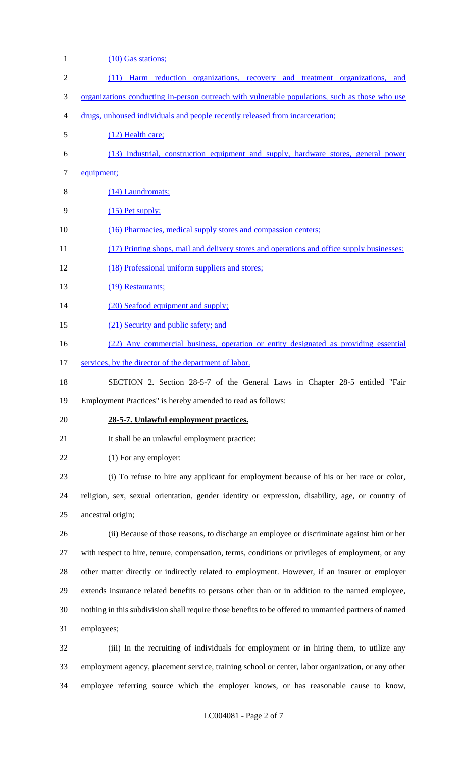| 1                        | (10) Gas stations;                                                                                    |
|--------------------------|-------------------------------------------------------------------------------------------------------|
| $\overline{c}$           | (11) Harm reduction organizations, recovery and treatment organizations, and                          |
| 3                        | <u>organizations conducting in-person outreach with vulnerable populations, such as those who use</u> |
| $\overline{\mathcal{A}}$ | drugs, unhoused individuals and people recently released from incarceration;                          |
| 5                        | (12) Health care;                                                                                     |
| 6                        | (13) Industrial, construction equipment and supply, hardware stores, general power                    |
| $\tau$                   | equipment;                                                                                            |
| 8                        | (14) Laundromats;                                                                                     |
| 9                        | $(15)$ Pet supply;                                                                                    |
| 10                       | (16) Pharmacies, medical supply stores and compassion centers;                                        |
| 11                       | (17) Printing shops, mail and delivery stores and operations and office supply businesses;            |
| 12                       | (18) Professional uniform suppliers and stores;                                                       |
| 13                       | (19) Restaurants;                                                                                     |
| 14                       | (20) Seafood equipment and supply;                                                                    |
| 15                       | (21) Security and public safety; and                                                                  |
| 16                       | (22) Any commercial business, operation or entity designated as providing essential                   |
| 17                       | services, by the director of the department of labor.                                                 |
| 18                       | SECTION 2. Section 28-5-7 of the General Laws in Chapter 28-5 entitled "Fair                          |
| 19                       | Employment Practices" is hereby amended to read as follows:                                           |
| 20                       | 28-5-7. Unlawful employment practices.                                                                |
| 21                       | It shall be an unlawful employment practice:                                                          |
| 22                       | (1) For any employer:                                                                                 |
| 23                       | (i) To refuse to hire any applicant for employment because of his or her race or color,               |
| 24                       | religion, sex, sexual orientation, gender identity or expression, disability, age, or country of      |
| 25                       | ancestral origin;                                                                                     |
| 26                       | (ii) Because of those reasons, to discharge an employee or discriminate against him or her            |
| 27                       | with respect to hire, tenure, compensation, terms, conditions or privileges of employment, or any     |
| 28                       | other matter directly or indirectly related to employment. However, if an insurer or employer         |
| 29                       | extends insurance related benefits to persons other than or in addition to the named employee,        |
| 30                       | nothing in this subdivision shall require those benefits to be offered to unmarried partners of named |
| 31                       | employees;                                                                                            |
| 32                       | (iii) In the recruiting of individuals for employment or in hiring them, to utilize any               |
| 33                       | employment agency, placement service, training school or center, labor organization, or any other     |
| 34                       | employee referring source which the employer knows, or has reasonable cause to know,                  |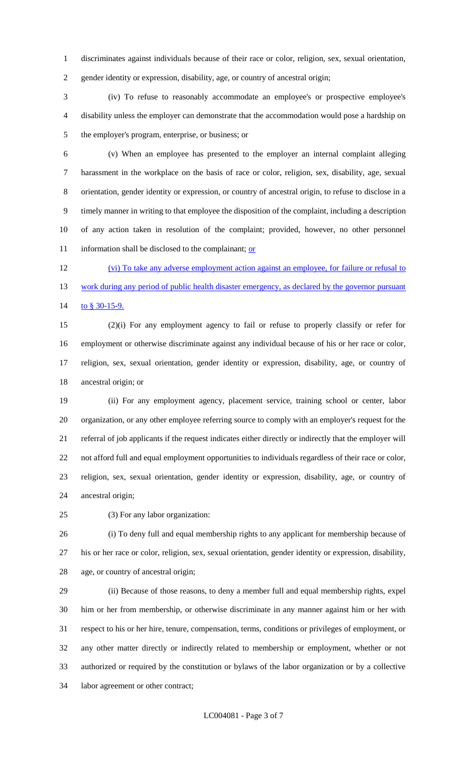discriminates against individuals because of their race or color, religion, sex, sexual orientation,

gender identity or expression, disability, age, or country of ancestral origin;

 (iv) To refuse to reasonably accommodate an employee's or prospective employee's disability unless the employer can demonstrate that the accommodation would pose a hardship on the employer's program, enterprise, or business; or

 (v) When an employee has presented to the employer an internal complaint alleging harassment in the workplace on the basis of race or color, religion, sex, disability, age, sexual orientation, gender identity or expression, or country of ancestral origin, to refuse to disclose in a timely manner in writing to that employee the disposition of the complaint, including a description of any action taken in resolution of the complaint; provided, however, no other personnel 11 information shall be disclosed to the complainant; or

 (vi) To take any adverse employment action against an employee, for failure or refusal to 13 work during any period of public health disaster emergency, as declared by the governor pursuant 14 to \$30-15-9.

 (2)(i) For any employment agency to fail or refuse to properly classify or refer for employment or otherwise discriminate against any individual because of his or her race or color, religion, sex, sexual orientation, gender identity or expression, disability, age, or country of ancestral origin; or

 (ii) For any employment agency, placement service, training school or center, labor organization, or any other employee referring source to comply with an employer's request for the referral of job applicants if the request indicates either directly or indirectly that the employer will not afford full and equal employment opportunities to individuals regardless of their race or color, religion, sex, sexual orientation, gender identity or expression, disability, age, or country of ancestral origin;

(3) For any labor organization:

 (i) To deny full and equal membership rights to any applicant for membership because of his or her race or color, religion, sex, sexual orientation, gender identity or expression, disability, age, or country of ancestral origin;

 (ii) Because of those reasons, to deny a member full and equal membership rights, expel him or her from membership, or otherwise discriminate in any manner against him or her with respect to his or her hire, tenure, compensation, terms, conditions or privileges of employment, or any other matter directly or indirectly related to membership or employment, whether or not authorized or required by the constitution or bylaws of the labor organization or by a collective labor agreement or other contract;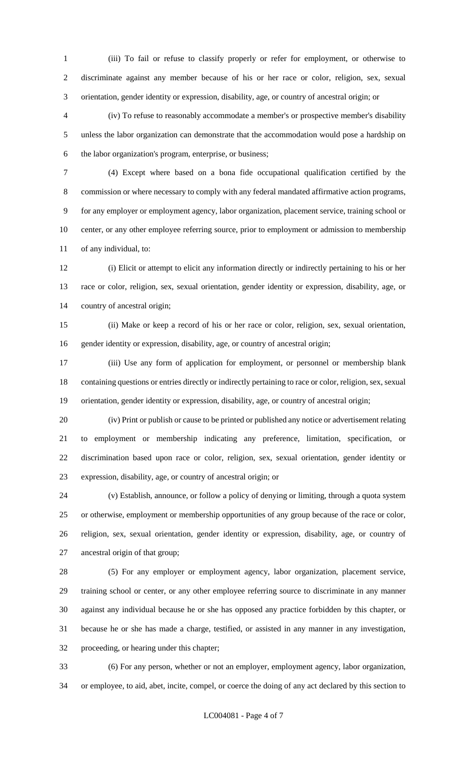(iii) To fail or refuse to classify properly or refer for employment, or otherwise to discriminate against any member because of his or her race or color, religion, sex, sexual orientation, gender identity or expression, disability, age, or country of ancestral origin; or

 (iv) To refuse to reasonably accommodate a member's or prospective member's disability unless the labor organization can demonstrate that the accommodation would pose a hardship on the labor organization's program, enterprise, or business;

 (4) Except where based on a bona fide occupational qualification certified by the commission or where necessary to comply with any federal mandated affirmative action programs, for any employer or employment agency, labor organization, placement service, training school or center, or any other employee referring source, prior to employment or admission to membership of any individual, to:

 (i) Elicit or attempt to elicit any information directly or indirectly pertaining to his or her race or color, religion, sex, sexual orientation, gender identity or expression, disability, age, or country of ancestral origin;

 (ii) Make or keep a record of his or her race or color, religion, sex, sexual orientation, gender identity or expression, disability, age, or country of ancestral origin;

 (iii) Use any form of application for employment, or personnel or membership blank containing questions or entries directly or indirectly pertaining to race or color, religion, sex, sexual orientation, gender identity or expression, disability, age, or country of ancestral origin;

 (iv) Print or publish or cause to be printed or published any notice or advertisement relating to employment or membership indicating any preference, limitation, specification, or discrimination based upon race or color, religion, sex, sexual orientation, gender identity or expression, disability, age, or country of ancestral origin; or

 (v) Establish, announce, or follow a policy of denying or limiting, through a quota system or otherwise, employment or membership opportunities of any group because of the race or color, religion, sex, sexual orientation, gender identity or expression, disability, age, or country of ancestral origin of that group;

 (5) For any employer or employment agency, labor organization, placement service, training school or center, or any other employee referring source to discriminate in any manner against any individual because he or she has opposed any practice forbidden by this chapter, or because he or she has made a charge, testified, or assisted in any manner in any investigation, proceeding, or hearing under this chapter;

 (6) For any person, whether or not an employer, employment agency, labor organization, or employee, to aid, abet, incite, compel, or coerce the doing of any act declared by this section to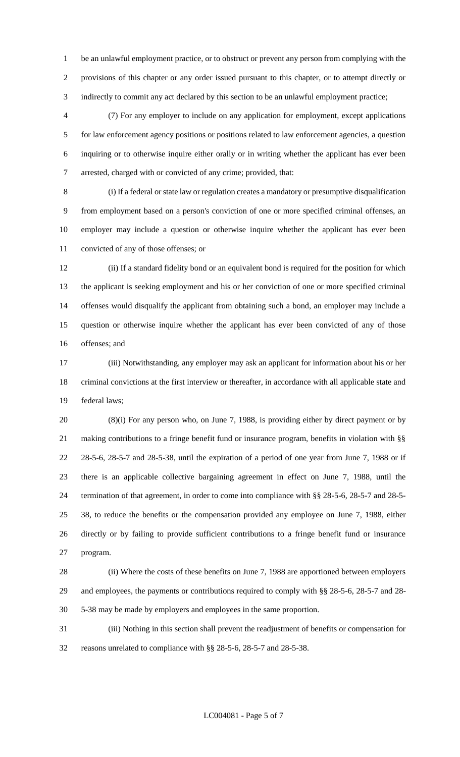be an unlawful employment practice, or to obstruct or prevent any person from complying with the provisions of this chapter or any order issued pursuant to this chapter, or to attempt directly or indirectly to commit any act declared by this section to be an unlawful employment practice;

 (7) For any employer to include on any application for employment, except applications for law enforcement agency positions or positions related to law enforcement agencies, a question inquiring or to otherwise inquire either orally or in writing whether the applicant has ever been arrested, charged with or convicted of any crime; provided, that:

 (i) If a federal or state law or regulation creates a mandatory or presumptive disqualification from employment based on a person's conviction of one or more specified criminal offenses, an employer may include a question or otherwise inquire whether the applicant has ever been convicted of any of those offenses; or

 (ii) If a standard fidelity bond or an equivalent bond is required for the position for which the applicant is seeking employment and his or her conviction of one or more specified criminal offenses would disqualify the applicant from obtaining such a bond, an employer may include a question or otherwise inquire whether the applicant has ever been convicted of any of those offenses; and

 (iii) Notwithstanding, any employer may ask an applicant for information about his or her criminal convictions at the first interview or thereafter, in accordance with all applicable state and federal laws;

 (8)(i) For any person who, on June 7, 1988, is providing either by direct payment or by making contributions to a fringe benefit fund or insurance program, benefits in violation with §§ 28-5-6, 28-5-7 and 28-5-38, until the expiration of a period of one year from June 7, 1988 or if there is an applicable collective bargaining agreement in effect on June 7, 1988, until the termination of that agreement, in order to come into compliance with §§ 28-5-6, 28-5-7 and 28-5- 38, to reduce the benefits or the compensation provided any employee on June 7, 1988, either directly or by failing to provide sufficient contributions to a fringe benefit fund or insurance program.

 (ii) Where the costs of these benefits on June 7, 1988 are apportioned between employers and employees, the payments or contributions required to comply with §§ 28-5-6, 28-5-7 and 28- 5-38 may be made by employers and employees in the same proportion.

 (iii) Nothing in this section shall prevent the readjustment of benefits or compensation for reasons unrelated to compliance with §§ 28-5-6, 28-5-7 and 28-5-38.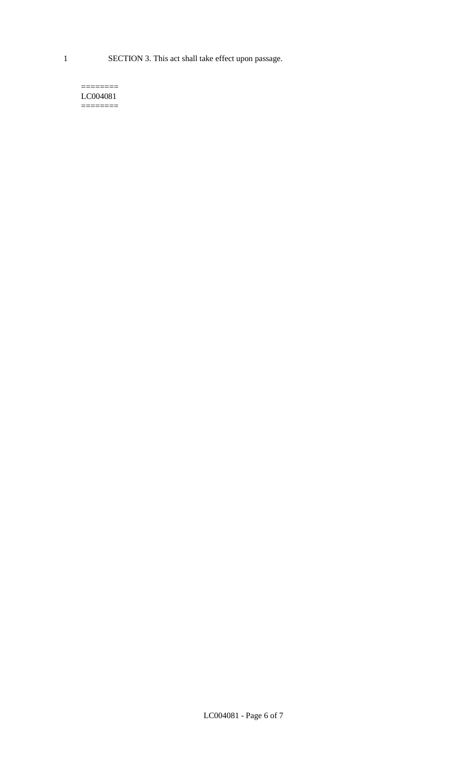1 SECTION 3. This act shall take effect upon passage.

#### $=$ LC004081  $=$